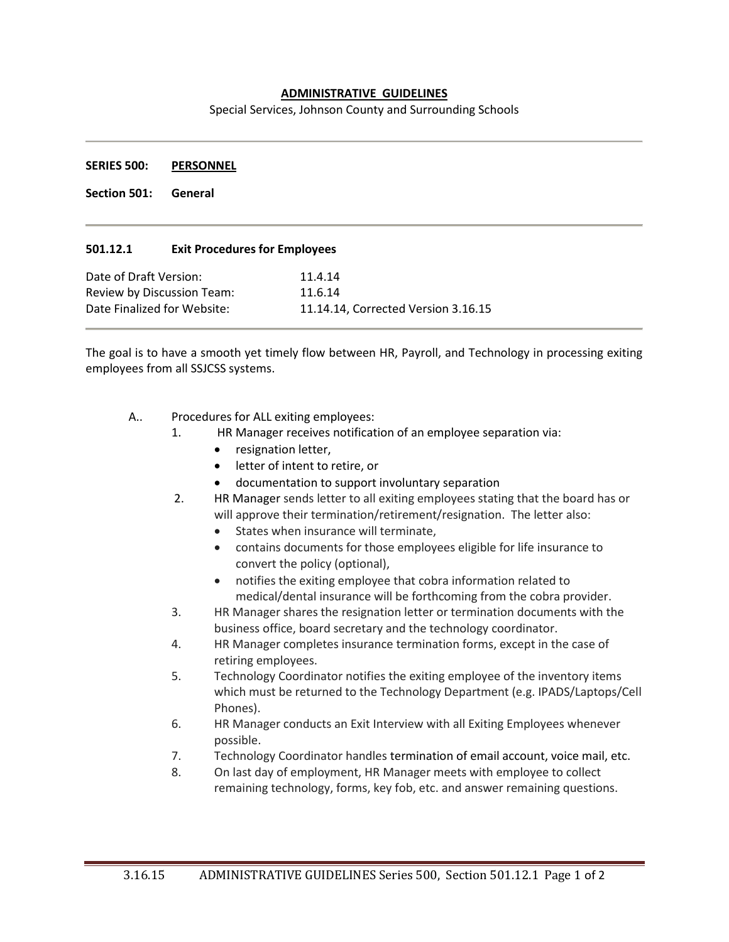## **ADMINISTRATIVE GUIDELINES**

Special Services, Johnson County and Surrounding Schools

## **SERIES 500: PERSONNEL**

**Section 501: General**

## **501.12.1 Exit Procedures for Employees**

| Date of Draft Version:      | 11.4.14                             |
|-----------------------------|-------------------------------------|
| Review by Discussion Team:  | 11.6.14                             |
| Date Finalized for Website: | 11.14.14, Corrected Version 3.16.15 |

The goal is to have a smooth yet timely flow between HR, Payroll, and Technology in processing exiting employees from all SSJCSS systems.

- A.. Procedures for ALL exiting employees:
	- 1. HR Manager receives notification of an employee separation via:
		- resignation letter,
		- letter of intent to retire, or
		- documentation to support involuntary separation
	- 2. HR Manager sends letter to all exiting employees stating that the board has or will approve their termination/retirement/resignation. The letter also:
		- States when insurance will terminate,
		- contains documents for those employees eligible for life insurance to convert the policy (optional),
		- notifies the exiting employee that cobra information related to medical/dental insurance will be forthcoming from the cobra provider.
	- 3. HR Manager shares the resignation letter or termination documents with the business office, board secretary and the technology coordinator.
	- 4. HR Manager completes insurance termination forms, except in the case of retiring employees.
	- 5. Technology Coordinator notifies the exiting employee of the inventory items which must be returned to the Technology Department (e.g. IPADS/Laptops/Cell Phones).
	- 6. HR Manager conducts an Exit Interview with all Exiting Employees whenever possible.
	- 7. Technology Coordinator handles termination of email account, voice mail, etc.
	- 8. On last day of employment, HR Manager meets with employee to collect remaining technology, forms, key fob, etc. and answer remaining questions.